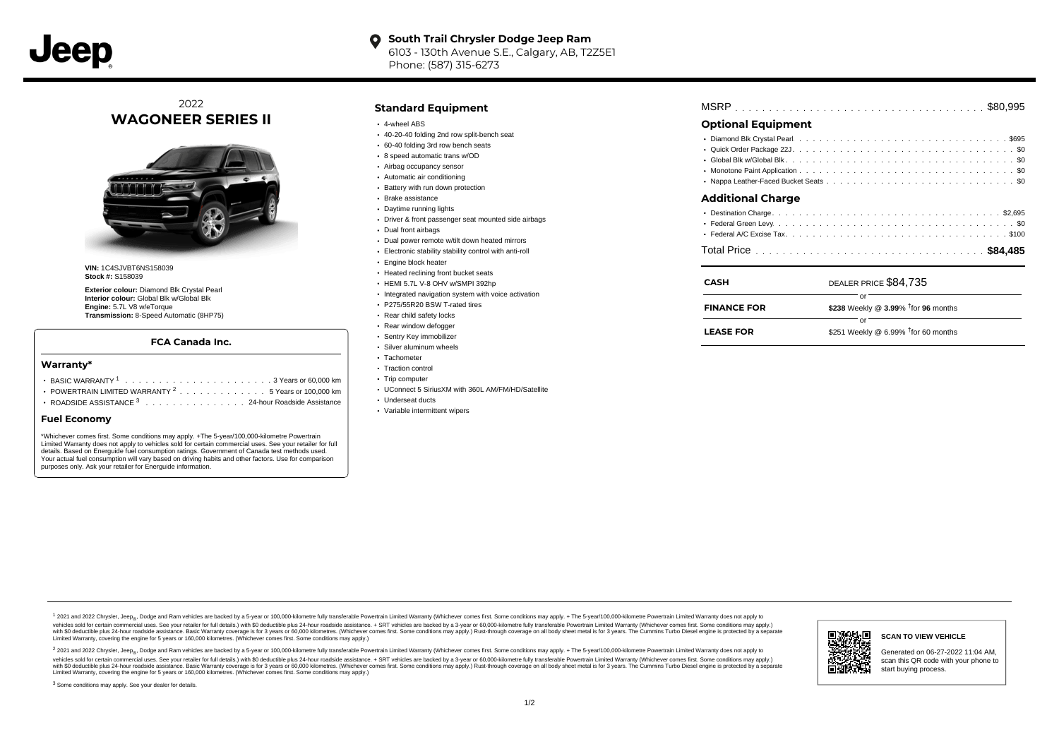

#### **South Trail Chrysler Dodge Jeep Ram**  $\bullet$ 6103 - 130th Avenue S.E., Calgary, AB, T2Z5E1 Phone: (587) 315-6273

## 2022 **WAGONEER SERIES II**



**VIN:** 1C4SJVBT6NS158039 **Stock #:** S158039

**Exterior colour:** Diamond Blk Crystal Pearl **Interior colour:** Global Blk w/Global Blk **Engine:** 5.7L V8 w/eTorque **Transmission:** 8-Speed Automatic (8HP75)

## **FCA Canada Inc.**

#### **Warranty\***

- . . . . . . . . . . . . . . . . . . . . . . . . . . . . . . . . . . . . . . . . . . . BASIC WARRANTY <sup>1</sup> 3 Years or 60,000 km POWERTRAIN LIMITED WARRANTY  $2 \ldots \ldots \ldots \ldots \ldots 5$  Years or 100,000 km
- ROADSIDE ASSISTANCE 3 . . . . . . . . . . . . . . . 24-hour Roadside Assistance

### **Fuel Economy**

\*Whichever comes first. Some conditions may apply. +The 5-year/100,000-kilometre Powertrain Limited Warranty does not apply to vehicles sold for certain commercial uses. See your retailer for full details. Based on Energuide fuel consumption ratings. Government of Canada test methods used. Your actual fuel consumption will vary based on driving habits and other factors. Use for comparison purposes only. Ask your retailer for Energuide information.

### **Standard Equipment**

- 4-wheel ABS
- 40-20-40 folding 2nd row split-bench seat
- 60-40 folding 3rd row bench seats
- 8 speed automatic trans w/OD
- Airbag occupancy sensor
- Automatic air conditioning
- Battery with run down protection Brake assistance
- Daytime running lights
- 
- Driver & front passenger seat mounted side airbags
- Dual front airbags
- Dual power remote w/tilt down heated mirrors
- Electronic stability stability control with anti-roll
- **Engine block heater**
- Heated reclining front bucket seats
- HEMI 5.7L V-8 OHV w/SMPI 392hp
- Integrated navigation system with voice activation
- P275/55R20 BSW T-rated tires
- Rear child safety locks
- Rear window defogger
- Sentry Key immobilizer
- Silver aluminum wheels
- Tachometer
- Traction control
- Trip computer
- UConnect 5 SiriusXM with 360L AM/FM/HD/Satellite
- Underseat ducts
- Variable intermittent wipers

| <b>Optional Equipment</b> |  |
|---------------------------|--|
|                           |  |
|                           |  |

. . . . . . . . . . . . . . . . . . . . . . . . . . . . . . . . . . . . . . . . . . . . . . Global Blk w/Global Blk \$0 . . . . . . . . . . . . . . . . . . . . . . . . . . . . . . . . . . . . . . . . . . . . . . Monotone Paint Application \$0 Nappa Leather-Faced Bucket Seats ..............................

## **Additional Charge**

| <b>CASH</b>        | DEALER PRICE \$84,735                              |
|--------------------|----------------------------------------------------|
| <b>FINANCE FOR</b> | \$238 Weekly @ $3.99\%$ <sup>†</sup> for 96 months |
| <b>LEASE FOR</b>   | Ωľ<br>\$251 Weekly @ 6.99% $†$ for 60 months       |

1 2021 and 2022 Chrysler, Jeep<sub>en</sub> Dodge and Ram vehicles are backed by a 5-year or 100,000-kilometre fully transferable Powertrain Limited Warranty (Whichever comes first. Some conditions may apply. + The 5-year/100,000-k debt of the product of the control and season to the control and the control of the control of the control of the control of the control of the SA-hour madside assistance. + SRT vehicles are backed by a 3-year or 60.00-kil ventals and contract when the contract when the contract you contract when the contract when the control of the set of a set of a set of a set of 3 years of 60,000 kilometres. Whichever comes first. Some conditions may app Limited Warranty, covering the engine for 5 years or 160,000 kilometres. (Whichever comes first. Some conditions may apply.)

2 2021 and 2022 Chrysler, Jeep<sub>es</sub> Dodge and Ram vehicles are backed by a 5-year or 100,000-kilometre fully transferable Powertrain Limited Warranty (Whichever comes first. Some conditions may apply. + The 5-year/100,000-k vehicles sold for certain commercial uses. See your retailer for full details.) with SO deductible plus 24-hour roadside assistance. + SRT vehicles are backed by a 3-year or 60.000-kilometre fully transferable Powertrain L with S0 deductible plus 24-hour roadside assistance. Basic Warranty coverage is for 3 years or 60,000 kilometres. (Whichever comes first. Some conditions may apply.) Rust-through coverage on all body sheet metal is for 3 y



#### **SCAN TO VIEW VEHICLE**

Generated on 06-27-2022 11:04 AM, scan this QR code with your phone to start buying process.

<sup>3</sup> Some conditions may apply. See your dealer for details.